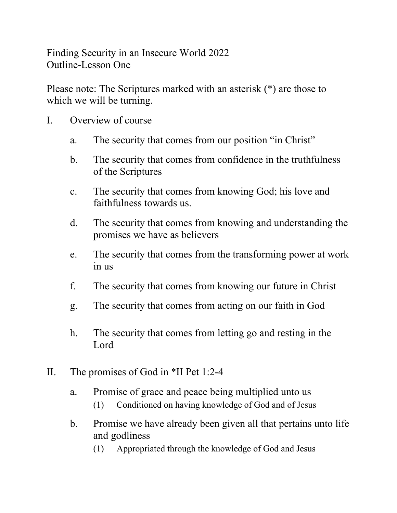Finding Security in an Insecure World 2022 Outline-Lesson One

Please note: The Scriptures marked with an asterisk (\*) are those to which we will be turning.

- I. Overview of course
	- a. The security that comes from our position "in Christ"
	- b. The security that comes from confidence in the truthfulness of the Scriptures
	- c. The security that comes from knowing God; his love and faithfulness towards us.
	- d. The security that comes from knowing and understanding the promises we have as believers
	- e. The security that comes from the transforming power at work in us
	- f. The security that comes from knowing our future in Christ
	- g. The security that comes from acting on our faith in God
	- h. The security that comes from letting go and resting in the Lord
- II. The promises of God in \*II Pet 1:2-4
	- a. Promise of grace and peace being multiplied unto us
		- (1) Conditioned on having knowledge of God and of Jesus
	- b. Promise we have already been given all that pertains unto life and godliness
		- (1) Appropriated through the knowledge of God and Jesus